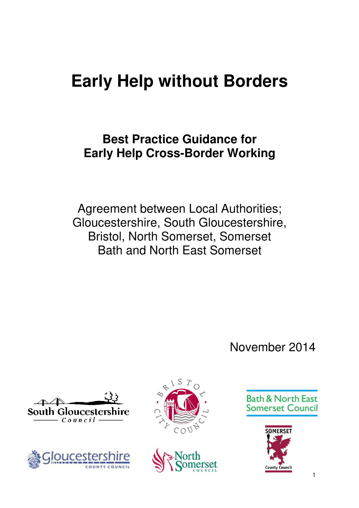# **Early Help without Borders**

## **Best Practice Guidance for Early Help Cross-Border Working**

Agreement between Local Authorities; Gloucestershire, South Gloucestershire, Bristol, North Somerset, Somerset Bath and North East Somerset

November 2014











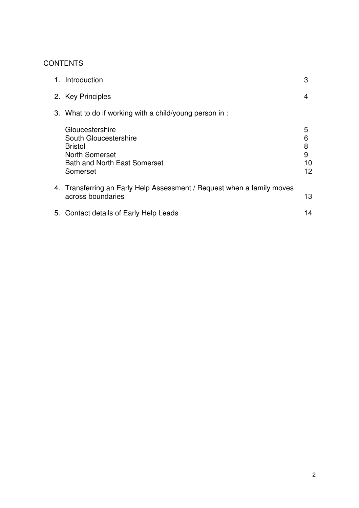#### **CONTENTS**

| 1. Introduction                                                                                                                        | 3                            |  |
|----------------------------------------------------------------------------------------------------------------------------------------|------------------------------|--|
| 2. Key Principles                                                                                                                      | 4                            |  |
| 3. What to do if working with a child/young person in:                                                                                 |                              |  |
| Gloucestershire<br>South Gloucestershire<br><b>Bristol</b><br><b>North Somerset</b><br><b>Bath and North East Somerset</b><br>Somerset | 5<br>6<br>8<br>9<br>10<br>12 |  |
| 4. Transferring an Early Help Assessment / Request when a family moves<br>across boundaries                                            | 13                           |  |
| 5. Contact details of Early Help Leads                                                                                                 | 14                           |  |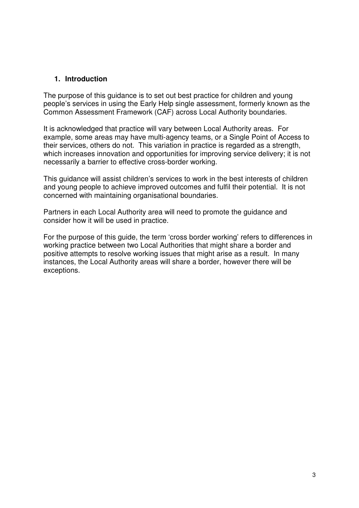#### **1. Introduction**

The purpose of this guidance is to set out best practice for children and young people's services in using the Early Help single assessment, formerly known as the Common Assessment Framework (CAF) across Local Authority boundaries.

It is acknowledged that practice will vary between Local Authority areas. For example, some areas may have multi-agency teams, or a Single Point of Access to their services, others do not. This variation in practice is regarded as a strength, which increases innovation and opportunities for improving service delivery; it is not necessarily a barrier to effective cross-border working.

This guidance will assist children's services to work in the best interests of children and young people to achieve improved outcomes and fulfil their potential. It is not concerned with maintaining organisational boundaries.

Partners in each Local Authority area will need to promote the guidance and consider how it will be used in practice.

For the purpose of this guide, the term 'cross border working' refers to differences in working practice between two Local Authorities that might share a border and positive attempts to resolve working issues that might arise as a result. In many instances, the Local Authority areas will share a border, however there will be exceptions.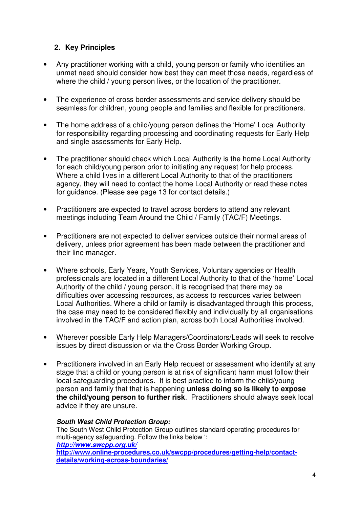#### **2. Key Principles**

- Any practitioner working with a child, young person or family who identifies an unmet need should consider how best they can meet those needs, regardless of where the child / young person lives, or the location of the practitioner.
- The experience of cross border assessments and service delivery should be seamless for children, young people and families and flexible for practitioners.
- The home address of a child/young person defines the 'Home' Local Authority for responsibility regarding processing and coordinating requests for Early Help and single assessments for Early Help.
- The practitioner should check which Local Authority is the home Local Authority for each child/young person prior to initiating any request for help process. Where a child lives in a different Local Authority to that of the practitioners agency, they will need to contact the home Local Authority or read these notes for guidance. (Please see page 13 for contact details.)
- Practitioners are expected to travel across borders to attend any relevant meetings including Team Around the Child / Family (TAC/F) Meetings.
- Practitioners are not expected to deliver services outside their normal areas of delivery, unless prior agreement has been made between the practitioner and their line manager.
- Where schools, Early Years, Youth Services, Voluntary agencies or Health professionals are located in a different Local Authority to that of the 'home' Local Authority of the child / young person, it is recognised that there may be difficulties over accessing resources, as access to resources varies between Local Authorities. Where a child or family is disadvantaged through this process, the case may need to be considered flexibly and individually by all organisations involved in the TAC/F and action plan, across both Local Authorities involved.
- Wherever possible Early Help Managers/Coordinators/Leads will seek to resolve issues by direct discussion or via the Cross Border Working Group.
- Practitioners involved in an Early Help request or assessment who identify at any stage that a child or young person is at risk of significant harm must follow their local safeguarding procedures. It is best practice to inform the child/young person and family that that is happening **unless doing so is likely to expose the child/young person to further risk**. Practitioners should always seek local advice if they are unsure.

#### **South West Child Protection Group:**

The South West Child Protection Group outlines standard operating procedures for multi-agency safeguarding. Follow the links below ': **http://www.swcpp.org.uk/ http://www.online-procedures.co.uk/swcpp/procedures/getting-help/contactdetails/working-across-boundaries/**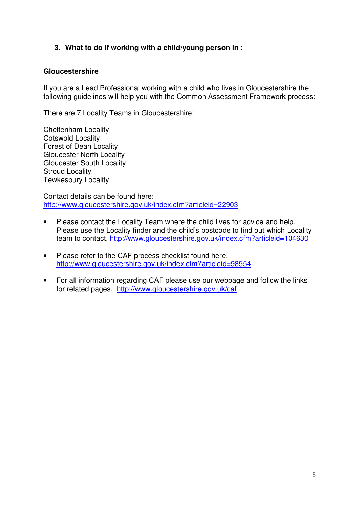#### **3. What to do if working with a child/young person in :**

#### **Gloucestershire**

If you are a Lead Professional working with a child who lives in Gloucestershire the following guidelines will help you with the Common Assessment Framework process:

There are 7 Locality Teams in Gloucestershire:

Cheltenham Locality Cotswold Locality Forest of Dean Locality Gloucester North Locality Gloucester South Locality Stroud Locality Tewkesbury Locality

Contact details can be found here: http://www.gloucestershire.gov.uk/index.cfm?articleid=22903

- Please contact the Locality Team where the child lives for advice and help. Please use the Locality finder and the child's postcode to find out which Locality team to contact. http://www.gloucestershire.gov.uk/index.cfm?articleid=104630
- Please refer to the CAF process checklist found here. http://www.gloucestershire.gov.uk/index.cfm?articleid=98554
- For all information regarding CAF please use our webpage and follow the links for related pages. http://www.gloucestershire.gov.uk/caf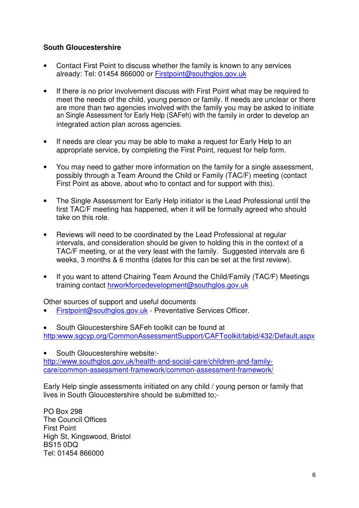#### **South Gloucestershire**

- Contact First Point to discuss whether the family is known to any services already: Tel: 01454 866000 or Firstpoint@southglos.gov.uk
- If there is no prior involvement discuss with First Point what may be required to meet the needs of the child, young person or family. If needs are unclear or there are more than two agencies involved with the family you may be asked to initiate an Single Assessment for Early Help (SAFeh) with the family in order to develop an integrated action plan across agencies.
- If needs are clear you may be able to make a request for Early Help to an appropriate service, by completing the First Point, request for help form.
- You may need to gather more information on the family for a single assessment, possibly through a Team Around the Child or Family (TAC/F) meeting (contact First Point as above, about who to contact and for support with this).
- The Single Assessment for Early Help initiator is the Lead Professional until the first TAC/F meeting has happened, when it will be formally agreed who should take on this role.
- Reviews will need to be coordinated by the Lead Professional at regular intervals, and consideration should be given to holding this in the context of a TAC/F meeting, or at the very least with the family. Suggested intervals are 6 weeks, 3 months & 6 months (dates for this can be set at the first review).
- If you want to attend Chairing Team Around the Child/Family (TAC/F) Meetings training contact hrworkforcedevelopment@southglos.gov.uk

Other sources of support and useful documents

- Firstpoint@southglos.gov.uk Preventative Services Officer.
- South Gloucestershire SAFeh toolkit can be found at http:www.sgcyp.org/CommonAssessmentSupport/CAFToolkit/tabid/432/Default.aspx

• South Gloucestershire website: http://www.southglos.gov.uk/health-and-social-care/children-and-familycare/common-assessment-framework/common-assessment-framework/

Early Help single assessments initiated on any child / young person or family that lives in South Gloucestershire should be submitted to;-

PO Box 298 The Council Offices First Point High St, Kingswood, Bristol BS15 0DQ Tel: 01454 866000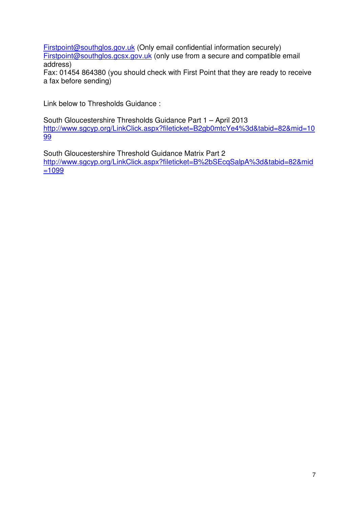Firstpoint@southglos.gov.uk (Only email confidential information securely) Firstpoint@southglos.gcsx.gov.uk (only use from a secure and compatible email address)

Fax: 01454 864380 (you should check with First Point that they are ready to receive a fax before sending)

Link below to Thresholds Guidance :

South Gloucestershire Thresholds Guidance Part 1 – April 2013 http://www.sgcyp.org/LinkClick.aspx?fileticket=B2gb0mtcYe4%3d&tabid=82&mid=10 99

South Gloucestershire Threshold Guidance Matrix Part 2 http://www.sgcyp.org/LinkClick.aspx?fileticket=B%2bSEcqSalpA%3d&tabid=82&mid =1099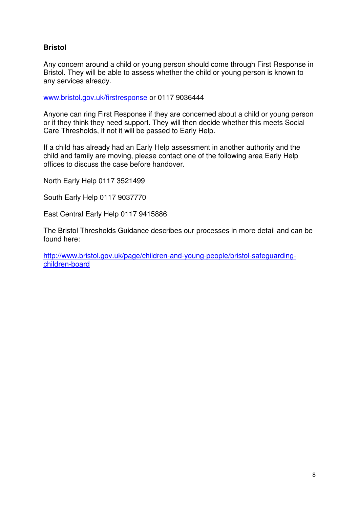#### **Bristol**

Any concern around a child or young person should come through First Response in Bristol. They will be able to assess whether the child or young person is known to any services already.

www.bristol.gov.uk/firstresponse or 0117 9036444

Anyone can ring First Response if they are concerned about a child or young person or if they think they need support. They will then decide whether this meets Social Care Thresholds, if not it will be passed to Early Help.

If a child has already had an Early Help assessment in another authority and the child and family are moving, please contact one of the following area Early Help offices to discuss the case before handover.

North Early Help 0117 3521499

South Early Help 0117 9037770

East Central Early Help 0117 9415886

The Bristol Thresholds Guidance describes our processes in more detail and can be found here:

http://www.bristol.gov.uk/page/children-and-young-people/bristol-safeguardingchildren-board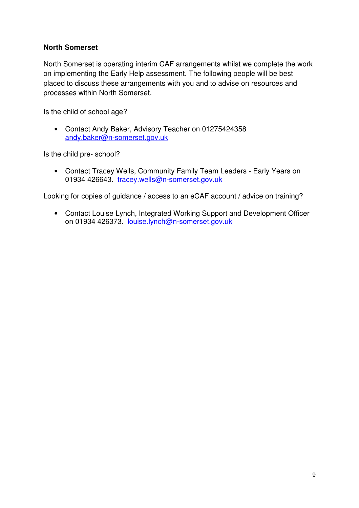#### **North Somerset**

North Somerset is operating interim CAF arrangements whilst we complete the work on implementing the Early Help assessment. The following people will be best placed to discuss these arrangements with you and to advise on resources and processes within North Somerset.

Is the child of school age?

• Contact Andy Baker, Advisory Teacher on 01275424358 andy.baker@n-somerset.gov.uk

Is the child pre- school?

• Contact Tracey Wells, Community Family Team Leaders - Early Years on 01934 426643. tracey.wells@n-somerset.gov.uk

Looking for copies of guidance / access to an eCAF account / advice on training?

• Contact Louise Lynch, Integrated Working Support and Development Officer on 01934 426373. louise.lynch@n-somerset.gov.uk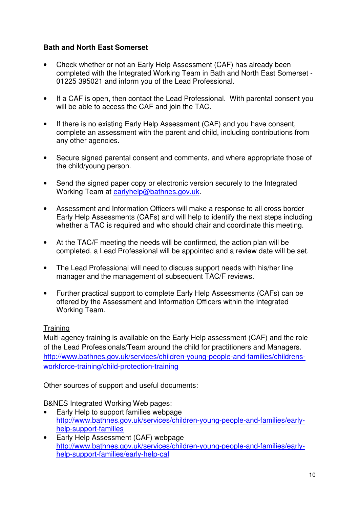#### **Bath and North East Somerset**

- Check whether or not an Early Help Assessment (CAF) has already been completed with the Integrated Working Team in Bath and North East Somerset - 01225 395021 and inform you of the Lead Professional.
- If a CAF is open, then contact the Lead Professional. With parental consent you will be able to access the CAF and join the TAC.
- If there is no existing Early Help Assessment (CAF) and you have consent, complete an assessment with the parent and child, including contributions from any other agencies.
- Secure signed parental consent and comments, and where appropriate those of the child/young person.
- Send the signed paper copy or electronic version securely to the Integrated Working Team at earlyhelp@bathnes.gov.uk.
- Assessment and Information Officers will make a response to all cross border Early Help Assessments (CAFs) and will help to identify the next steps including whether a TAC is required and who should chair and coordinate this meeting.
- At the TAC/F meeting the needs will be confirmed, the action plan will be completed, a Lead Professional will be appointed and a review date will be set.
- The Lead Professional will need to discuss support needs with his/her line manager and the management of subsequent TAC/F reviews.
- Further practical support to complete Early Help Assessments (CAFs) can be offered by the Assessment and Information Officers within the Integrated Working Team.

#### **Training**

Multi-agency training is available on the Early Help assessment (CAF) and the role of the Lead Professionals/Team around the child for practitioners and Managers. http://www.bathnes.gov.uk/services/children-young-people-and-families/childrensworkforce-training/child-protection-training

#### Other sources of support and useful documents:

B&NES Integrated Working Web pages:

- Early Help to support families webpage http://www.bathnes.gov.uk/services/children-young-people-and-families/earlyhelp-support-families
- Early Help Assessment (CAF) webpage http://www.bathnes.gov.uk/services/children-young-people-and-families/earlyhelp-support-families/early-help-caf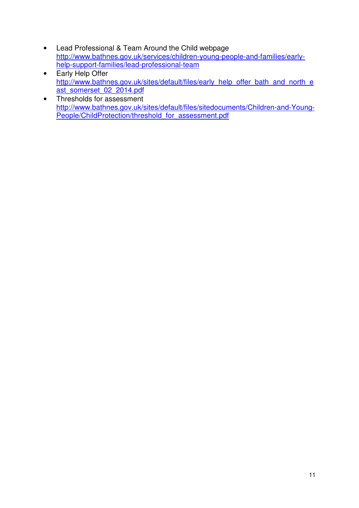- Lead Professional & Team Around the Child webpage http://www.bathnes.gov.uk/services/children-young-people-and-families/earlyhelp-support-families/lead-professional-team
- Early Help Offer http://www.bathnes.gov.uk/sites/default/files/early\_help\_offer\_bath\_and\_north\_e ast\_somerset\_02\_2014.pdf
- Thresholds for assessment http://www.bathnes.gov.uk/sites/default/files/sitedocuments/Children-and-Young-People/ChildProtection/threshold\_for\_assessment.pdf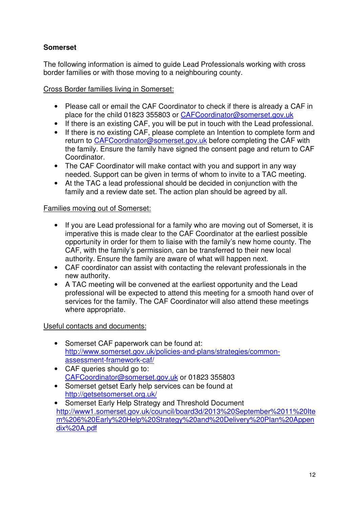#### **Somerset**

The following information is aimed to guide Lead Professionals working with cross border families or with those moving to a neighbouring county.

Cross Border families living in Somerset:

- Please call or email the CAF Coordinator to check if there is already a CAF in place for the child 01823 355803 or CAFCoordinator@somerset.gov.uk
- If there is an existing CAF, you will be put in touch with the Lead professional.
- If there is no existing CAF, please complete an Intention to complete form and return to CAFCoordinator@somerset.gov.uk before completing the CAF with the family. Ensure the family have signed the consent page and return to CAF Coordinator.
- The CAF Coordinator will make contact with you and support in any way needed. Support can be given in terms of whom to invite to a TAC meeting.
- At the TAC a lead professional should be decided in conjunction with the family and a review date set. The action plan should be agreed by all.

#### Families moving out of Somerset:

- If you are Lead professional for a family who are moving out of Somerset, it is imperative this is made clear to the CAF Coordinator at the earliest possible opportunity in order for them to liaise with the family's new home county. The CAF, with the family's permission, can be transferred to their new local authority. Ensure the family are aware of what will happen next.
- CAF coordinator can assist with contacting the relevant professionals in the new authority.
- A TAC meeting will be convened at the earliest opportunity and the Lead professional will be expected to attend this meeting for a smooth hand over of services for the family. The CAF Coordinator will also attend these meetings where appropriate.

#### Useful contacts and documents:

- Somerset CAF paperwork can be found at: http://www.somerset.gov.uk/policies-and-plans/strategies/commonassessment-framework-caf/
- CAF queries should go to: CAFCoordinator@somerset.gov.uk or 01823 355803
- Somerset getset Early help services can be found at http://getsetsomerset.org.uk/
- Somerset Early Help Strategy and Threshold Document http://www1.somerset.gov.uk/council/board3d/2013%20September%2011%20Ite m%206%20Early%20Help%20Strategy%20and%20Delivery%20Plan%20Appen dix%20A.pdf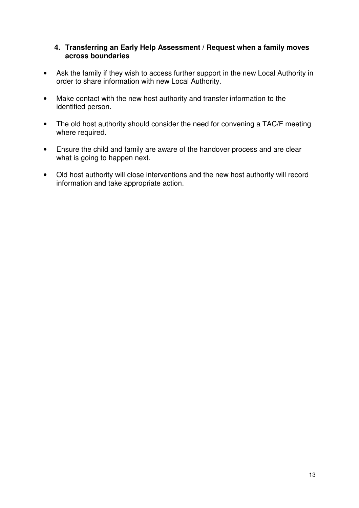#### **4. Transferring an Early Help Assessment / Request when a family moves across boundaries**

- Ask the family if they wish to access further support in the new Local Authority in order to share information with new Local Authority.
- Make contact with the new host authority and transfer information to the identified person.
- The old host authority should consider the need for convening a TAC/F meeting where required.
- Ensure the child and family are aware of the handover process and are clear what is going to happen next.
- Old host authority will close interventions and the new host authority will record information and take appropriate action.